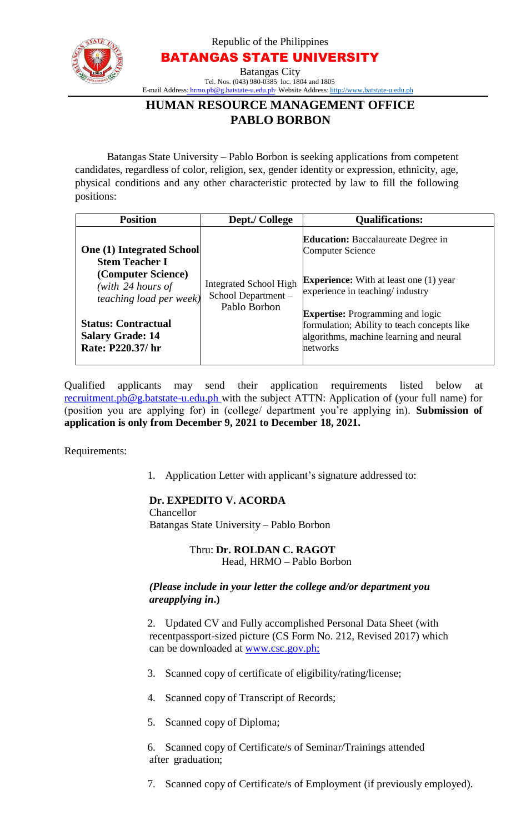

Republic of the Philippines BATANGAS STATE UNIVERSITY Batangas City Tel. Nos. [\(043\)](mailto:hrmo.pb@g.batstate-u.edu.ph) 980-0385 loc. 1804 and [1805](http://www.batstate-u.edu.ph/) E-mail Address: hrmo.pb@g.batstate-u.edu.ph∙ Website Address: http://www.batstate-u.edu.ph

# **HUMAN RESOURCE MANAGEMENT OFFICE PABLO BORBON**

Batangas State University – Pablo Borbon is seeking applications from competent candidates, regardless of color, religion, sex, gender identity or expression, ethnicity, age, physical conditions and any other characteristic protected by law to fill the following positions:

| <b>Position</b>                                                                                                                                                                                                        | Dept./ College                                                      | <b>Qualifications:</b>                                                                                                                                                                                                                                                                                    |
|------------------------------------------------------------------------------------------------------------------------------------------------------------------------------------------------------------------------|---------------------------------------------------------------------|-----------------------------------------------------------------------------------------------------------------------------------------------------------------------------------------------------------------------------------------------------------------------------------------------------------|
| <b>One (1) Integrated School</b><br><b>Stem Teacher I</b><br>(Computer Science)<br>(with $24$ hours of<br><i>teaching load per week)</i><br><b>Status: Contractual</b><br><b>Salary Grade: 14</b><br>Rate: P220.37/ hr | <b>Integrated School High</b><br>School Department-<br>Pablo Borbon | <b>Education:</b> Baccalaureate Degree in<br><b>Computer Science</b><br><b>Experience:</b> With at least one (1) year<br>experience in teaching/industry<br><b>Expertise:</b> Programming and logic<br>formulation; Ability to teach concepts like<br>algorithms, machine learning and neural<br>networks |

Qualified applicants may send their application requirements listed below at recruitment.pb@g.batstate-u.edu.ph with the subject ATTN: Application of (your full name) for (position you are applying for) in (college/ department you're applying in). **Submission of application is only from December 9, 2021 to December 18, 2021.**

Requirements:

1. Application Letter with applicant's signature addressed to:

## **Dr. EXPEDITO V. ACORDA**

Chancellor Batangas State University – Pablo Borbon

> Thru: **Dr. ROLDAN C. RAGOT** Head, HRMO – Pablo Borbon

#### *(Please include in your letter the college and/or department you areapplying in***.)**

2. Updated CV and Fully accomplished Personal Data Sheet (with recentpassport-sized picture (CS Form No. 212, Revised 2017) which can be downloaded at www.csc.gov.ph;

- 3. Scanned copy of certificate of eligibility/rating/license;
- 4. Scanned copy of Transcript of Records;
- 5. Scanned copy of Diploma;

6. Scanned copy of Certificate/s of Seminar/Trainings attended after graduation;

7. Scanned copy of Certificate/s of Employment (if previously employed).